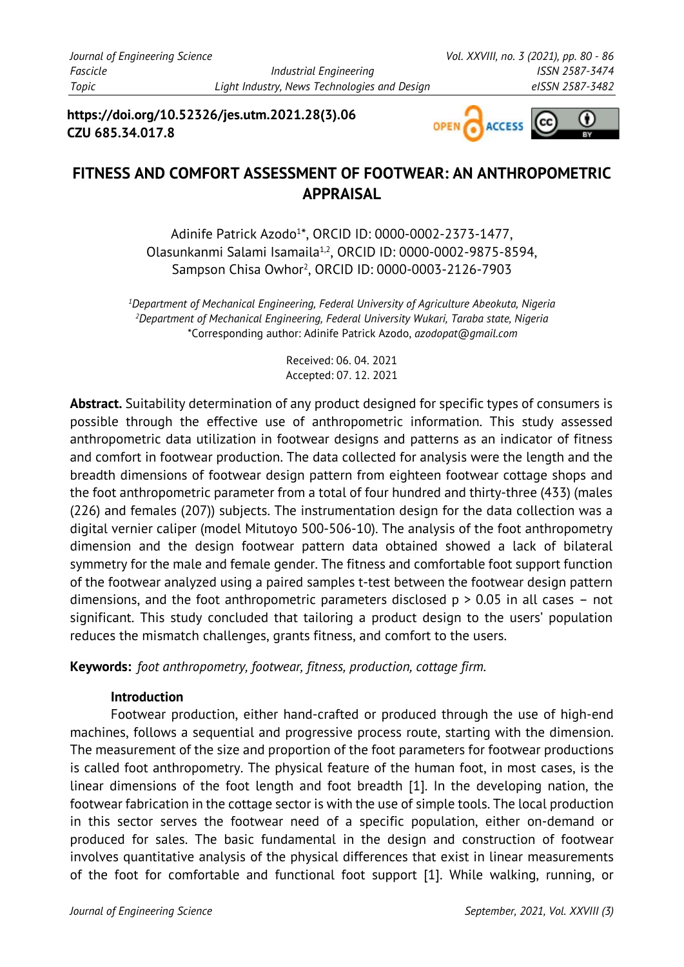**https://doi.org/10.52326/jes.utm.2021.28(3).06 CZU 685.34.017.8**



# **FITNESS AND COMFORT ASSESSMENT OF FOOTWEAR: AN ANTHROPOMETRIC APPRAISAL**

Adinife Patrick Azodo<sup>1\*</sup>, ORCID ID: 0000-0002-2373-1477, Olasunkanmi Salami Isamaila1,2, ORCID ID: 0000-0002-9875-8594, Sampson Chisa Owhor<sup>2</sup>, ORCID ID: 0000-0003-2126-7903

*1 Department of Mechanical Engineering, Federal University of Agriculture Abeokuta, Nigeria 2 Department of Mechanical Engineering, Federal University Wukari, Taraba state, Nigeria*  \*Corresponding author: Adinife Patrick Azodo, *azodopat@gmail.com*

> Received: 06. 04. 2021 Accepted: 07. 12. 2021

**Abstract.** Suitability determination of any product designed for specific types of consumers is possible through the effective use of anthropometric information. This study assessed anthropometric data utilization in footwear designs and patterns as an indicator of fitness and comfort in footwear production. The data collected for analysis were the length and the breadth dimensions of footwear design pattern from eighteen footwear cottage shops and the foot anthropometric parameter from a total of four hundred and thirty-three (433) (males (226) and females (207)) subjects. The instrumentation design for the data collection was a digital vernier caliper (model Mitutoyo 500-506-10). The analysis of the foot anthropometry dimension and the design footwear pattern data obtained showed a lack of bilateral symmetry for the male and female gender. The fitness and comfortable foot support function of the footwear analyzed using a paired samples t-test between the footwear design pattern dimensions, and the foot anthropometric parameters disclosed  $p > 0.05$  in all cases – not significant. This study concluded that tailoring a product design to the users' population reduces the mismatch challenges, grants fitness, and comfort to the users.

**Keywords:** *foot anthropometry, footwear, fitness, production, cottage firm.* 

## **Introduction**

Footwear production, either hand-crafted or produced through the use of high-end machines, follows a sequential and progressive process route, starting with the dimension. The measurement of the size and proportion of the foot parameters for footwear productions is called foot anthropometry. The physical feature of the human foot, in most cases, is the linear dimensions of the foot length and foot breadth [1]. In the developing nation, the footwear fabrication in the cottage sector is with the use of simple tools. The local production in this sector serves the footwear need of a specific population, either on-demand or produced for sales. The basic fundamental in the design and construction of footwear involves quantitative analysis of the physical differences that exist in linear measurements of the foot for comfortable and functional foot support [1]. While walking, running, or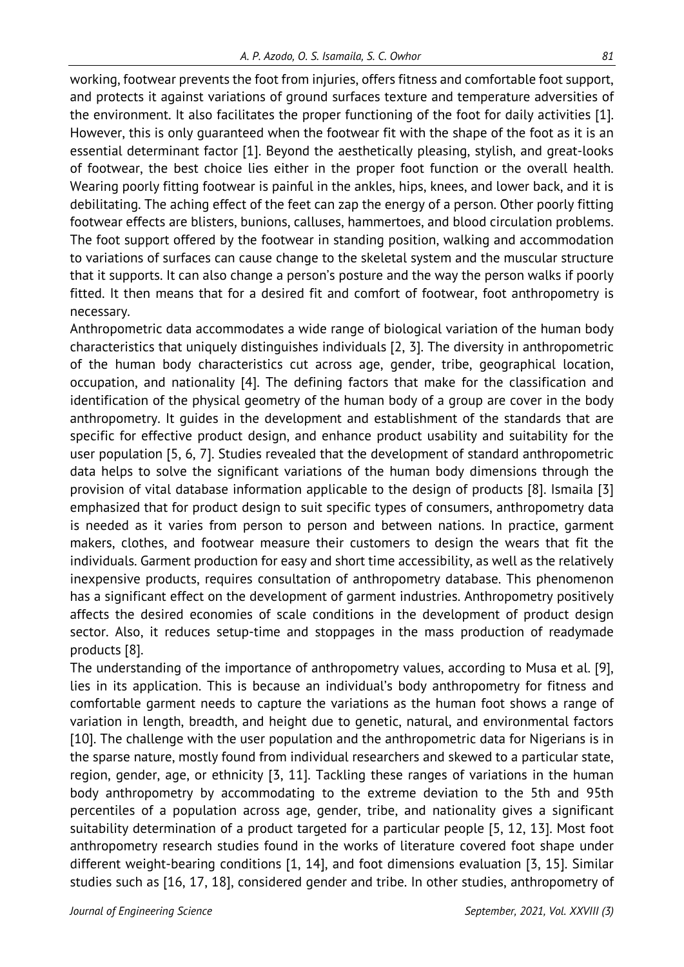working, footwear prevents the foot from injuries, offers fitness and comfortable foot support, and protects it against variations of ground surfaces texture and temperature adversities of the environment. It also facilitates the proper functioning of the foot for daily activities [1]. However, this is only guaranteed when the footwear fit with the shape of the foot as it is an essential determinant factor [1]. Beyond the aesthetically pleasing, stylish, and great-looks of footwear, the best choice lies either in the proper foot function or the overall health. Wearing poorly fitting footwear is painful in the ankles, hips, knees, and lower back, and it is debilitating. The aching effect of the feet can zap the energy of a person. Other poorly fitting footwear effects are blisters, bunions, calluses, hammertoes, and blood circulation problems. The foot support offered by the footwear in standing position, walking and accommodation to variations of surfaces can cause change to the skeletal system and the muscular structure that it supports. It can also change a person's posture and the way the person walks if poorly fitted. It then means that for a desired fit and comfort of footwear, foot anthropometry is necessary.

Anthropometric data accommodates a wide range of biological variation of the human body characteristics that uniquely distinguishes individuals [2, 3]. The diversity in anthropometric of the human body characteristics cut across age, gender, tribe, geographical location, occupation, and nationality [4]. The defining factors that make for the classification and identification of the physical geometry of the human body of a group are cover in the body anthropometry. It guides in the development and establishment of the standards that are specific for effective product design, and enhance product usability and suitability for the user population [5, 6, 7]. Studies revealed that the development of standard anthropometric data helps to solve the significant variations of the human body dimensions through the provision of vital database information applicable to the design of products [8]. Ismaila [3] emphasized that for product design to suit specific types of consumers, anthropometry data is needed as it varies from person to person and between nations. In practice, garment makers, clothes, and footwear measure their customers to design the wears that fit the individuals. Garment production for easy and short time accessibility, as well as the relatively inexpensive products, requires consultation of anthropometry database. This phenomenon has a significant effect on the development of garment industries. Anthropometry positively affects the desired economies of scale conditions in the development of product design sector. Also, it reduces setup-time and stoppages in the mass production of readymade products [8].

The understanding of the importance of anthropometry values, according to Musa et al. [9], lies in its application. This is because an individual's body anthropometry for fitness and comfortable garment needs to capture the variations as the human foot shows a range of variation in length, breadth, and height due to genetic, natural, and environmental factors [10]. The challenge with the user population and the anthropometric data for Nigerians is in the sparse nature, mostly found from individual researchers and skewed to a particular state, region, gender, age, or ethnicity [3, 11]. Tackling these ranges of variations in the human body anthropometry by accommodating to the extreme deviation to the 5th and 95th percentiles of a population across age, gender, tribe, and nationality gives a significant suitability determination of a product targeted for a particular people [5, 12, 13]. Most foot anthropometry research studies found in the works of literature covered foot shape under different weight-bearing conditions [1, 14], and foot dimensions evaluation [3, 15]. Similar studies such as [16, 17, 18], considered gender and tribe. In other studies, anthropometry of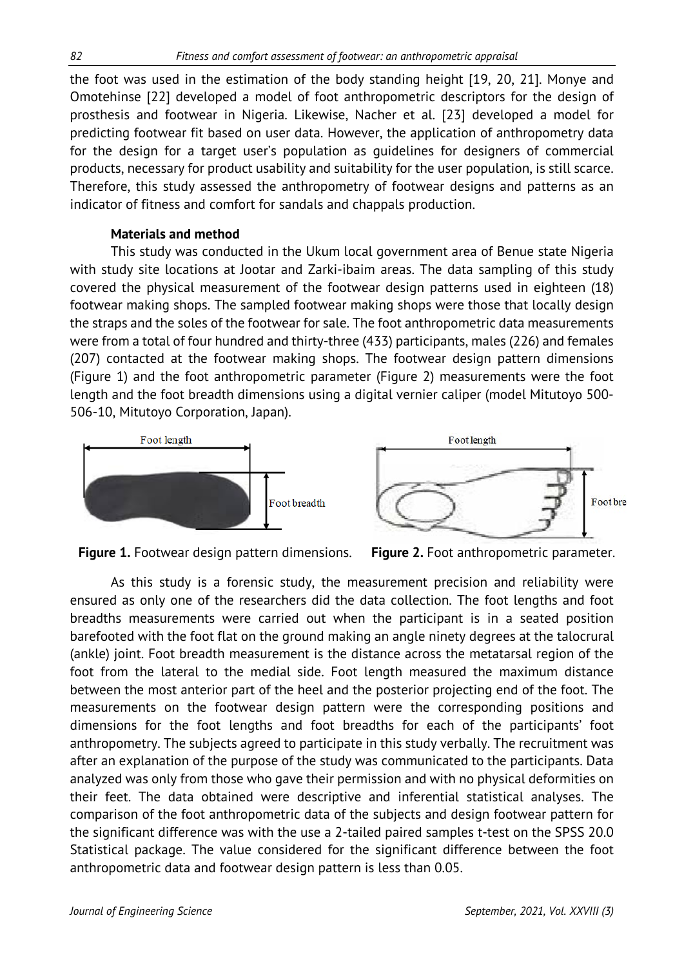the foot was used in the estimation of the body standing height [19, 20, 21]. Monye and Omotehinse [22] developed a model of foot anthropometric descriptors for the design of prosthesis and footwear in Nigeria. Likewise, Nacher et al. [23] developed a model for predicting footwear fit based on user data. However, the application of anthropometry data for the design for a target user's population as guidelines for designers of commercial products, necessary for product usability and suitability for the user population, is still scarce. Therefore, this study assessed the anthropometry of footwear designs and patterns as an indicator of fitness and comfort for sandals and chappals production.

# **Materials and method**

This study was conducted in the Ukum local government area of Benue state Nigeria with study site locations at Jootar and Zarki-ibaim areas. The data sampling of this study covered the physical measurement of the footwear design patterns used in eighteen (18) footwear making shops. The sampled footwear making shops were those that locally design the straps and the soles of the footwear for sale. The foot anthropometric data measurements were from a total of four hundred and thirty-three (433) participants, males (226) and females (207) contacted at the footwear making shops. The footwear design pattern dimensions (Figure 1) and the foot anthropometric parameter (Figure 2) measurements were the foot length and the foot breadth dimensions using a digital vernier caliper (model Mitutoyo 500- 506-10, Mitutoyo Corporation, Japan).





**Figure 1.** Footwear design pattern dimensions. Figure 2. Foot anthropometric parameter.

As this study is a forensic study, the measurement precision and reliability were ensured as only one of the researchers did the data collection. The foot lengths and foot breadths measurements were carried out when the participant is in a seated position barefooted with the foot flat on the ground making an angle ninety degrees at the talocrural (ankle) joint. Foot breadth measurement is the distance across the metatarsal region of the foot from the lateral to the medial side. Foot length measured the maximum distance between the most anterior part of the heel and the posterior projecting end of the foot. The measurements on the footwear design pattern were the corresponding positions and dimensions for the foot lengths and foot breadths for each of the participants' foot anthropometry. The subjects agreed to participate in this study verbally. The recruitment was after an explanation of the purpose of the study was communicated to the participants. Data analyzed was only from those who gave their permission and with no physical deformities on their feet. The data obtained were descriptive and inferential statistical analyses. The comparison of the foot anthropometric data of the subjects and design footwear pattern for the significant difference was with the use a 2-tailed paired samples t-test on the SPSS 20.0 Statistical package. The value considered for the significant difference between the foot anthropometric data and footwear design pattern is less than 0.05.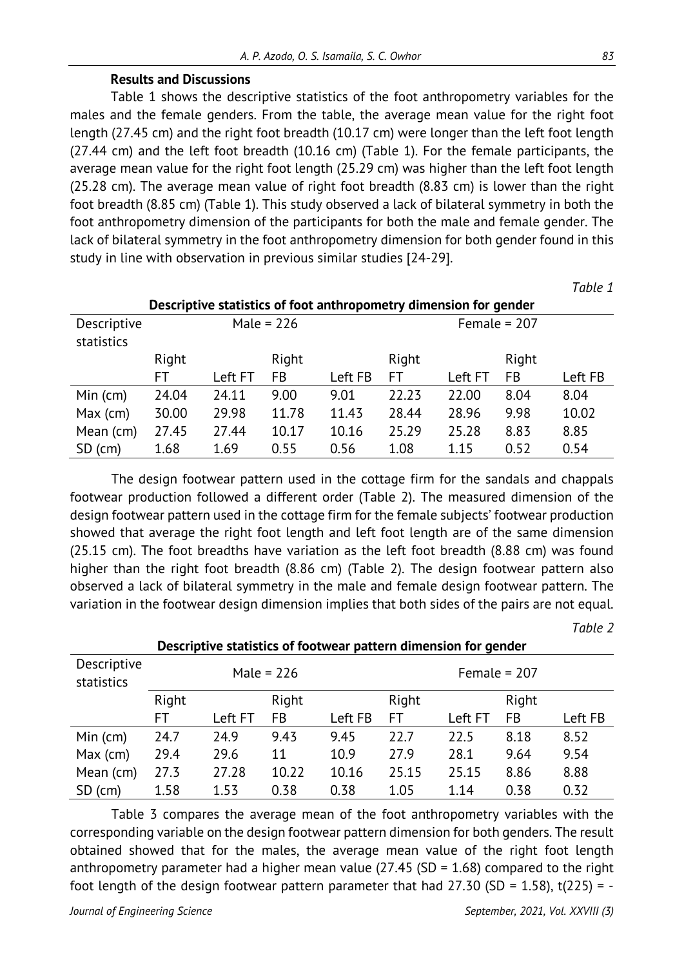### **Results and Discussions**

Table 1 shows the descriptive statistics of the foot anthropometry variables for the males and the female genders. From the table, the average mean value for the right foot length (27.45 cm) and the right foot breadth (10.17 cm) were longer than the left foot length (27.44 cm) and the left foot breadth (10.16 cm) (Table 1). For the female participants, the average mean value for the right foot length (25.29 cm) was higher than the left foot length (25.28 cm). The average mean value of right foot breadth (8.83 cm) is lower than the right foot breadth (8.85 cm) (Table 1). This study observed a lack of bilateral symmetry in both the foot anthropometry dimension of the participants for both the male and female gender. The lack of bilateral symmetry in the foot anthropometry dimension for both gender found in this study in line with observation in previous similar studies [24-29].

| Descriptive statistics of foot anthropometry dimension for gender |              |         |       |         |       |         |       |         |
|-------------------------------------------------------------------|--------------|---------|-------|---------|-------|---------|-------|---------|
| Descriptive<br>statistics                                         | Male = $226$ |         |       |         |       |         |       |         |
|                                                                   | Right        |         | Right |         | Right |         | Right |         |
|                                                                   | FT           | Left FT | FB    | Left FB | FT    | Left FT | FB    | Left FB |
| Min (cm)                                                          | 24.04        | 24.11   | 9.00  | 9.01    | 22.23 | 22.00   | 8.04  | 8.04    |
| $Max$ (cm)                                                        | 30.00        | 29.98   | 11.78 | 11.43   | 28.44 | 28.96   | 9.98  | 10.02   |
| Mean (cm)                                                         | 27.45        | 27.44   | 10.17 | 10.16   | 25.29 | 25.28   | 8.83  | 8.85    |
| $SD$ (cm)                                                         | 1.68         | 1.69    | 0.55  | 0.56    | 1.08  | 1.15    | 0.52  | 0.54    |

The design footwear pattern used in the cottage firm for the sandals and chappals footwear production followed a different order (Table 2). The measured dimension of the design footwear pattern used in the cottage firm for the female subjects' footwear production showed that average the right foot length and left foot length are of the same dimension (25.15 cm). The foot breadths have variation as the left foot breadth (8.88 cm) was found higher than the right foot breadth (8.86 cm) (Table 2). The design footwear pattern also observed a lack of bilateral symmetry in the male and female design footwear pattern. The variation in the footwear design dimension implies that both sides of the pairs are not equal.

*Table 2*

| Descriptive<br>statistics | Male = $226$   |         |           |         | Female = $207$ |         |      |         |  |
|---------------------------|----------------|---------|-----------|---------|----------------|---------|------|---------|--|
|                           | Right<br>Right |         | Right     |         |                |         |      |         |  |
|                           | FT             | Left FT | <b>FB</b> | Left FB | FT             | Left FT | FB   | Left FB |  |
| Min(cm)                   | 24.7           | 24.9    | 9.43      | 9.45    | 22.7           | 22.5    | 8.18 | 8.52    |  |
| Max (cm)                  | 29.4           | 29.6    | 11        | 10.9    | 27.9           | 28.1    | 9.64 | 9.54    |  |
| Mean (cm)                 | 27.3           | 27.28   | 10.22     | 10.16   | 25.15          | 25.15   | 8.86 | 8.88    |  |
| $SD$ (cm)                 | 1.58           | 1.53    | 0.38      | 0.38    | 1.05           | 1.14    | 0.38 | 0.32    |  |

**Descriptive statistics of footwear pattern dimension for gender** 

Table 3 compares the average mean of the foot anthropometry variables with the corresponding variable on the design footwear pattern dimension for both genders. The result obtained showed that for the males, the average mean value of the right foot length anthropometry parameter had a higher mean value  $(27.45$  (SD = 1.68) compared to the right foot length of the design footwear pattern parameter that had  $27.30$  (SD = 1.58), t(225) = -

*Table 1*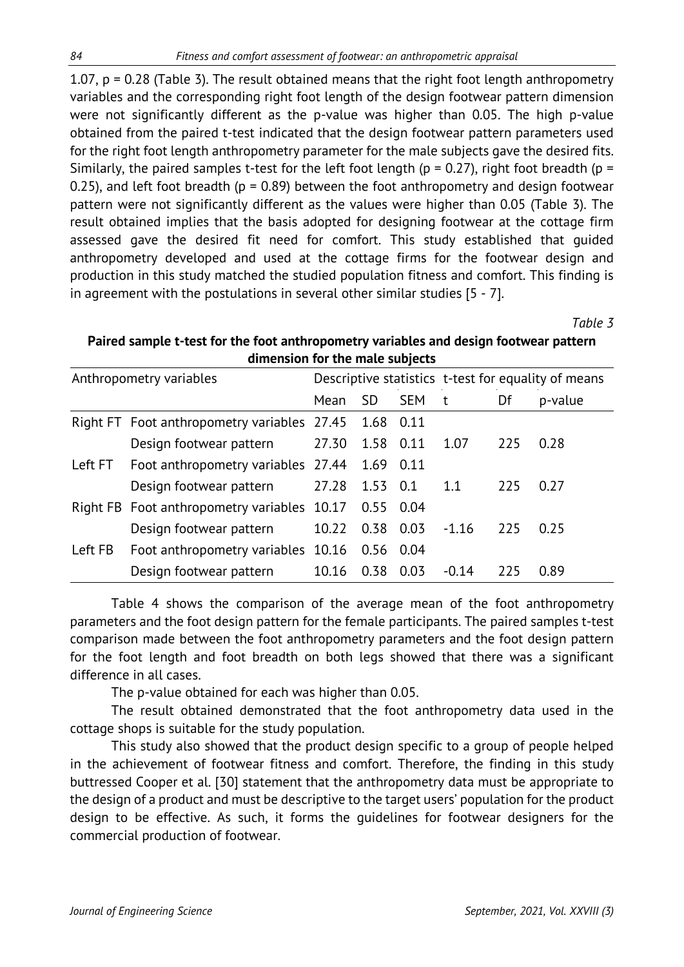1.07,  $p = 0.28$  (Table 3). The result obtained means that the right foot length anthropometry variables and the corresponding right foot length of the design footwear pattern dimension were not significantly different as the p-value was higher than 0.05. The high p-value obtained from the paired t-test indicated that the design footwear pattern parameters used for the right foot length anthropometry parameter for the male subjects gave the desired fits. Similarly, the paired samples t-test for the left foot length ( $p = 0.27$ ), right foot breadth ( $p = 0.27$ ) 0.25), and left foot breadth ( $p = 0.89$ ) between the foot anthropometry and design footwear pattern were not significantly different as the values were higher than 0.05 (Table 3). The result obtained implies that the basis adopted for designing footwear at the cottage firm assessed gave the desired fit need for comfort. This study established that guided anthropometry developed and used at the cottage firms for the footwear design and production in this study matched the studied population fitness and comfort. This finding is in agreement with the postulations in several other similar studies [5 - 7].

*Table 3*

| Anthropometry variables |                                                       |       |             |            | Descriptive statistics t-test for equality of means |     |         |  |
|-------------------------|-------------------------------------------------------|-------|-------------|------------|-----------------------------------------------------|-----|---------|--|
|                         |                                                       | Mean  | <b>SD</b>   | <b>SEM</b> | t                                                   | Df  | p-value |  |
|                         | Right FT Foot anthropometry variables 27.45 1.68 0.11 |       |             |            |                                                     |     |         |  |
|                         | Design footwear pattern                               | 27.30 | 1.58 0.11   |            | 1.07                                                | 225 | 0.28    |  |
| Left FT                 | Foot anthropometry variables 27.44                    |       | 1.69 0.11   |            |                                                     |     |         |  |
|                         | Design footwear pattern                               | 27.28 | 1.53 0.1    |            | 1.1                                                 | 225 | 0.27    |  |
|                         | Right FB Foot anthropometry variables 10.17           |       | 0.55 0.04   |            |                                                     |     |         |  |
|                         | Design footwear pattern                               | 10.22 | 0.38        | 0.03       | $-1.16$                                             | 225 | 0.25    |  |
| Left FB                 | Foot anthropometry variables 10.16                    |       | $0.56$ 0.04 |            |                                                     |     |         |  |
|                         | Design footwear pattern                               | 10.16 | 0.38        | 0.03       | $-0.14$                                             | 225 | 0.89    |  |

# **Paired sample t-test for the foot anthropometry variables and design footwear pattern dimension for the male subjects**

Table 4 shows the comparison of the average mean of the foot anthropometry parameters and the foot design pattern for the female participants. The paired samples t-test comparison made between the foot anthropometry parameters and the foot design pattern for the foot length and foot breadth on both legs showed that there was a significant difference in all cases.

The p-value obtained for each was higher than 0.05.

The result obtained demonstrated that the foot anthropometry data used in the cottage shops is suitable for the study population.

This study also showed that the product design specific to a group of people helped in the achievement of footwear fitness and comfort. Therefore, the finding in this study buttressed Cooper et al. [30] statement that the anthropometry data must be appropriate to the design of a product and must be descriptive to the target users' population for the product design to be effective. As such, it forms the guidelines for footwear designers for the commercial production of footwear.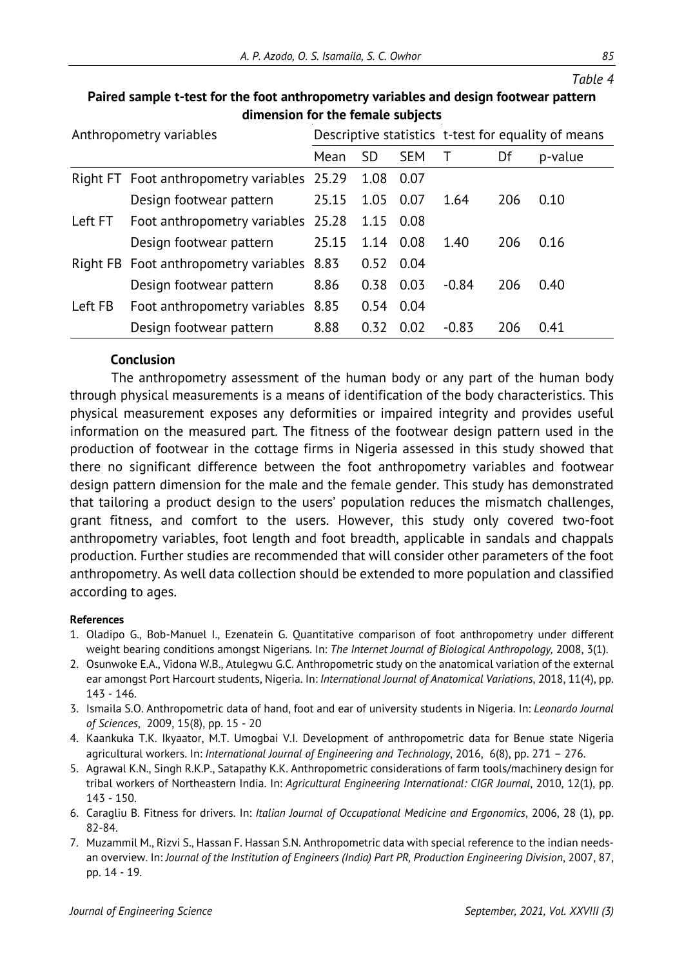*Table 4*

| annersion for the remate subjects |                                             |       |           |            |                                                     |     |         |  |
|-----------------------------------|---------------------------------------------|-------|-----------|------------|-----------------------------------------------------|-----|---------|--|
| Anthropometry variables           |                                             |       |           |            | Descriptive statistics t-test for equality of means |     |         |  |
|                                   |                                             | Mean  | <b>SD</b> | <b>SEM</b> |                                                     | Df  | p-value |  |
|                                   | Right FT Foot anthropometry variables 25.29 |       | 1.08      | 0.07       |                                                     |     |         |  |
|                                   | Design footwear pattern                     | 25.15 | 1.05      | 0.07       | 1.64                                                | 206 | 0.10    |  |
| Left FT                           | Foot anthropometry variables 25.28          |       | 1.15      | 0.08       |                                                     |     |         |  |
|                                   | Design footwear pattern                     | 25.15 | 1.14      | 0.08       | 1.40                                                | 206 | 0.16    |  |
|                                   | Right FB Foot anthropometry variables 8.83  |       | 0.52      | 0.04       |                                                     |     |         |  |
|                                   | Design footwear pattern                     | 8.86  | 0.38      | 0.03       | $-0.84$                                             | 206 | 0.40    |  |
| Left FB                           | Foot anthropometry variables 8.85           |       | 0.54      | 0.04       |                                                     |     |         |  |
|                                   | Design footwear pattern                     | 8.88  | 0.32      | 0.02       | $-0.83$                                             | 206 | 0.41    |  |

# **Paired sample t-test for the foot anthropometry variables and design footwear pattern dimension for the female subjects**

# **Conclusion**

The anthropometry assessment of the human body or any part of the human body through physical measurements is a means of identification of the body characteristics. This physical measurement exposes any deformities or impaired integrity and provides useful information on the measured part. The fitness of the footwear design pattern used in the production of footwear in the cottage firms in Nigeria assessed in this study showed that there no significant difference between the foot anthropometry variables and footwear design pattern dimension for the male and the female gender. This study has demonstrated that tailoring a product design to the users' population reduces the mismatch challenges, grant fitness, and comfort to the users. However, this study only covered two-foot anthropometry variables, foot length and foot breadth, applicable in sandals and chappals production. Further studies are recommended that will consider other parameters of the foot anthropometry. As well data collection should be extended to more population and classified according to ages.

#### **References**

- 1. Oladipo G., Bob-Manuel I., Ezenatein G. Quantitative comparison of foot anthropometry under different weight bearing conditions amongst Nigerians. In: *The Internet Journal of Biological Anthropology,* 2008, 3(1).
- 2. Osunwoke E.A., Vidona W.B., Atulegwu G.C. Anthropometric study on the anatomical variation of the external ear amongst Port Harcourt students, Nigeria. In: *International Journal of Anatomical Variations*, 2018, 11(4), pp. 143 - 146.
- 3. Ismaila S.O. Anthropometric data of hand, foot and ear of university students in Nigeria. In: *Leonardo Journal of Sciences*, 2009, 15(8), pp. 15 - 20
- 4. Kaankuka T.K. Ikyaator, M.T. Umogbai V.I. Development of anthropometric data for Benue state Nigeria agricultural workers. In: *International Journal of Engineering and Technology*, 2016, 6(8), pp. 271 – 276.
- 5. Agrawal K.N., Singh R.K.P., Satapathy K.K. Anthropometric considerations of farm tools/machinery design for tribal workers of Northeastern India. In: *Agricultural Engineering International: CIGR Journal*, 2010, 12(1), pp. 143 - 150.
- 6. Caragliu B. Fitness for drivers. In: *Italian Journal of Occupational Medicine and Ergonomics*, 2006, 28 (1), pp. 82-84.
- 7. Muzammil M., Rizvi S., Hassan F. Hassan S.N. Anthropometric data with special reference to the indian needsan overview. In: *Journal of the Institution of Engineers (India) Part PR, Production Engineering Division*, 2007, 87, pp. 14 - 19.